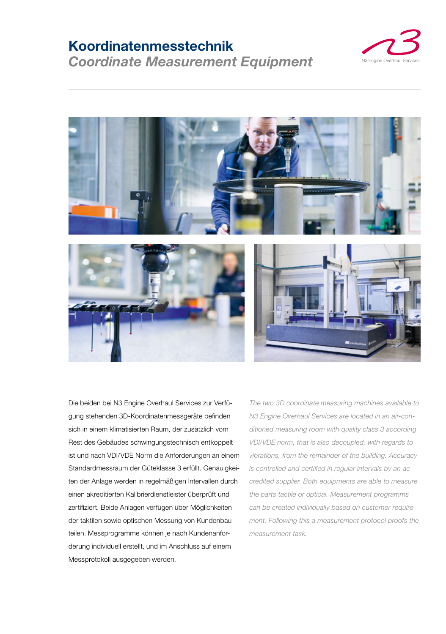## **Koordinatenmesstechnik** *Coordinate Measurement Equipment*





Die beiden bei N3 Engine Overhaul Services zur Verfügung stehenden 3D-Koordinatenmessgeräte befinden sich in einem klimatisierten Raum, der zusätzlich vom Rest des Gebäudes schwingungstechnisch entkoppelt ist und nach VDI/VDE Norm die Anforderungen an einem Standardmessraum der Güteklasse 3 erfüllt. Genauigkeiten der Anlage werden in regelmäßigen Intervallen durch einen akreditierten Kalibrierdienstleister überprüft und zertifiziert. Beide Anlagen verfügen über Möglichkeiten der taktilen sowie optischen Messung von Kundenbauteilen. Messprogramme können je nach Kundenanforderung individuell erstellt, und im Anschluss auf einem Messprotokoll ausgegeben werden.

*The two 3D coordinate measuring machines available to N3 Engine Overhaul Services are located in an air-conditioned measuring room with quality class 3 according VDI/VDE norm, that is also decoupled, with regards to vibrations, from the remainder of the building. Accuracy is controlled and certified in regular intervals by an accredited supplier. Both equipments are able to measure the parts tactile or optical. Measurement programms can be created individually based on customer requirement. Following this a measurement protocol proofs the measurement task.*